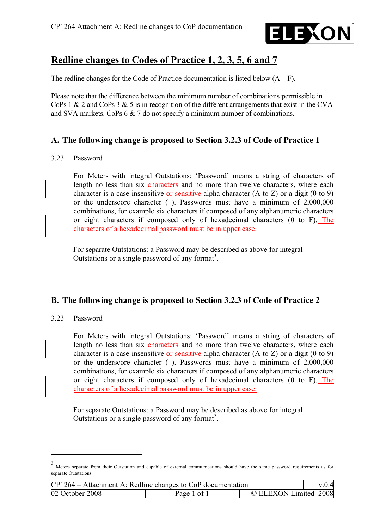

# **Redline changes to Codes of Practice 1, 2, 3, 5, 6 and 7**

The redline changes for the Code of Practice documentation is listed below  $(A - F)$ .

Please note that the difference between the minimum number of combinations permissible in CoPs 1  $\&$  2 and CoPs 3  $\&$  5 is in recognition of the different arrangements that exist in the CVA and SVA markets. CoPs 6 & 7 do not specify a minimum number of combinations.

### **A. The following change is proposed to Section 3.2.3 of Code of Practice 1**

#### 3.23 Password

For Meters with integral Outstations: 'Password' means a string of characters of length no less than six characters and no more than twelve characters, where each character is a case insensitive or sensitive alpha character (A to Z) or a digit (0 to 9) or the underscore character (\_). Passwords must have a minimum of 2,000,000 combinations, for example six characters if composed of any alphanumeric characters or eight characters if composed only of hexadecimal characters (0 to F). The characters of a hexadecimal password must be in upper case.

For separate Outstations: a Password may be described as above for integral Outstations or a single password of any format<sup>3</sup>.

### **B. The following change is proposed to Section 3.2.3 of Code of Practice 2**

#### 3.23 Password

For Meters with integral Outstations: 'Password' means a string of characters of length no less than six characters and no more than twelve characters, where each character is a case insensitive or sensitive alpha character  $(A \text{ to } Z)$  or a digit  $(0 \text{ to } 9)$ or the underscore character  $($ ). Passwords must have a minimum of 2,000,000 combinations, for example six characters if composed of any alphanumeric characters or eight characters if composed only of hexadecimal characters (0 to F). The characters of a hexadecimal password must be in upper case.

For separate Outstations: a Password may be described as above for integral Outstations or a single password of any format<sup>3</sup>.

<sup>3</sup> Meters separate from their Outstation and capable of external communications should have the same password requirements as for separate Outstations.

| $CP1264 - Attachment A: Redline changes to CoP documentation$ |             |                       | v.0.4 |
|---------------------------------------------------------------|-------------|-----------------------|-------|
| 02 October 2008                                               | Page 1 of 1 | © ELEXON Limited 2008 |       |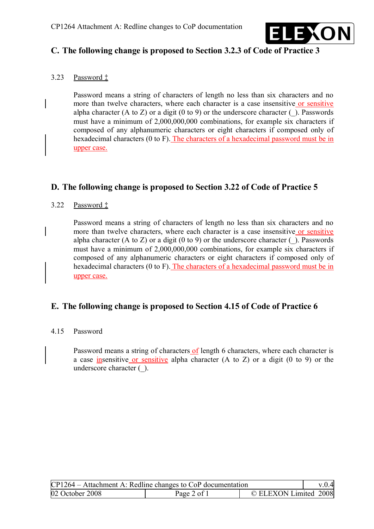

### **C. The following change is proposed to Section 3.2.3 of Code of Practice 3**

#### 3.23 Password ‡

Password means a string of characters of length no less than six characters and no more than twelve characters, where each character is a case insensitive or sensitive alpha character (A to Z) or a digit (0 to 9) or the underscore character ( $\cdot$ ). Passwords must have a minimum of 2,000,000,000 combinations, for example six characters if composed of any alphanumeric characters or eight characters if composed only of hexadecimal characters (0 to F). The characters of a hexadecimal password must be in upper case.

### **D. The following change is proposed to Section 3.22 of Code of Practice 5**

#### 3.22 Password ‡

Password means a string of characters of length no less than six characters and no more than twelve characters, where each character is a case insensitive or sensitive alpha character (A to Z) or a digit (0 to 9) or the underscore character ( $\Box$ ). Passwords must have a minimum of 2,000,000,000 combinations, for example six characters if composed of any alphanumeric characters or eight characters if composed only of hexadecimal characters (0 to F). The characters of a hexadecimal password must be in upper case.

### **E. The following change is proposed to Section 4.15 of Code of Practice 6**

#### 4.15 Password

Password means a string of characters of length 6 characters, where each character is a case insensitive or sensitive alpha character (A to Z) or a digit (0 to 9) or the underscore character ( $\cdot$ ).

| $CP1264 - Attachment A: Redline changes to CoP documentation$ |             |                       | v.0.4 |
|---------------------------------------------------------------|-------------|-----------------------|-------|
| 02 October 2008                                               | Page 2 of 1 | © ELEXON Limited 2008 |       |